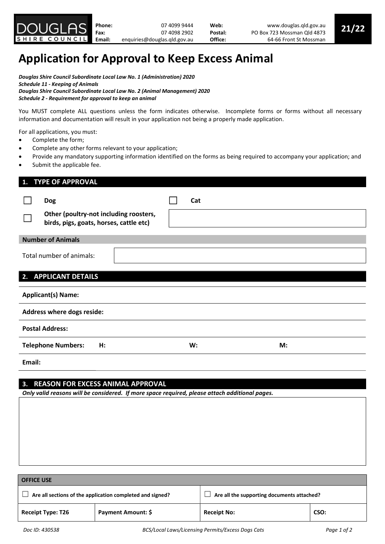# Application for Approval to Keep Excess Animal

Douglas Shire Council Subordinate Local Law No. 1 (Administration) 2020 Schedule 11 - Keeping of Animals Douglas Shire Council Subordinate Local Law No. 2 (Animal Management) 2020 Schedule 2 - Requirement for approval to keep an animal

You MUST complete ALL questions unless the form indicates otherwise. Incomplete forms or forms without all necessary information and documentation will result in your application not being a properly made application.

For all applications, you must:

- Complete the form;
- Complete any other forms relevant to your application;
- Provide any mandatory supporting information identified on the forms as being required to accompany your application; and
- Submit the applicable fee.

| <b>TYPE OF APPROVAL</b><br>1.                                                                   |     |    |
|-------------------------------------------------------------------------------------------------|-----|----|
| <b>Dog</b><br>Other (poultry-not including roosters,<br>birds, pigs, goats, horses, cattle etc) | Cat |    |
| <b>Number of Animals</b>                                                                        |     |    |
| Total number of animals:                                                                        |     |    |
| <b>APPLICANT DETAILS</b><br>2.                                                                  |     |    |
| <b>Applicant(s) Name:</b>                                                                       |     |    |
| Address where dogs reside:                                                                      |     |    |
| <b>Postal Address:</b>                                                                          |     |    |
| <b>Telephone Numbers:</b><br>H:                                                                 | W:  | M: |
| Email:                                                                                          |     |    |

# 3. REASON FOR EXCESS ANIMAL APPROVAL

Only valid reasons will be considered. If more space required, please attach additional pages.

| <b>OFFICE USE</b>                                         |                    |                                            |      |  |  |  |
|-----------------------------------------------------------|--------------------|--------------------------------------------|------|--|--|--|
| Are all sections of the application completed and signed? |                    | Are all the supporting documents attached? |      |  |  |  |
| <b>Receipt Type: T26</b>                                  | Payment Amount: \$ | <b>Receipt No:</b>                         | CSO: |  |  |  |